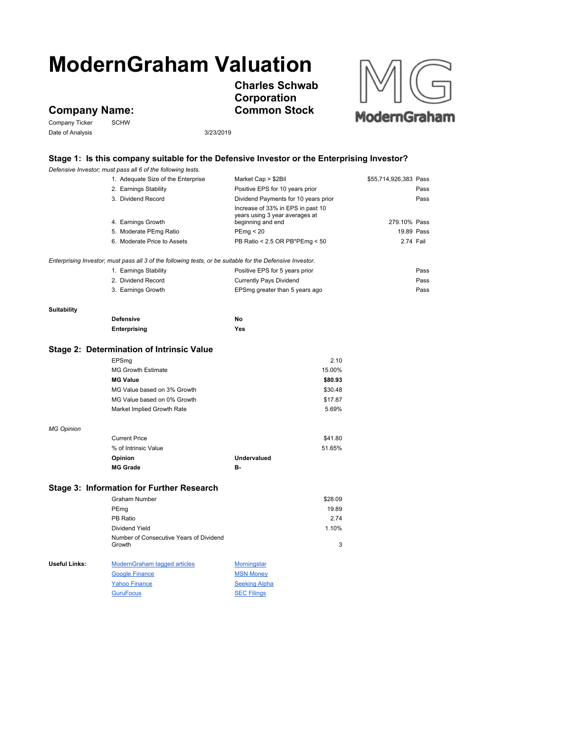# **ModernGraham Valuation**

**Charles Schwab Corporation Common Stock**



## **Company Name:**

Company Ticker SCHW Date of Analysis 3/23/2019

### **Stage 1: Is this company suitable for the Defensive Investor or the Enterprising Investor?**

*Defensive Investor; must pass all 6 of the following tests.*

|                      | 1. Adequate Size of the Enterprise                                                                        | Market Cap > \$2Bil                                                                      | \$55,714,926,383 Pass |
|----------------------|-----------------------------------------------------------------------------------------------------------|------------------------------------------------------------------------------------------|-----------------------|
|                      | 2. Earnings Stability                                                                                     | Positive EPS for 10 years prior                                                          | Pass                  |
|                      | 3. Dividend Record<br>Dividend Payments for 10 years prior                                                |                                                                                          | Pass                  |
|                      | 4. Earnings Growth                                                                                        | Increase of 33% in EPS in past 10<br>years using 3 year averages at<br>beginning and end | 279.10% Pass          |
|                      | 5. Moderate PEmg Ratio                                                                                    | PEmp < 20                                                                                | 19.89 Pass            |
|                      | 6. Moderate Price to Assets                                                                               | PB Ratio < 2.5 OR PB*PEmg < 50                                                           | 2.74 Fail             |
|                      |                                                                                                           |                                                                                          |                       |
|                      | Enterprising Investor; must pass all 3 of the following tests, or be suitable for the Defensive Investor. |                                                                                          |                       |
|                      | 1. Earnings Stability                                                                                     | Positive EPS for 5 years prior                                                           | Pass                  |
|                      | 2. Dividend Record                                                                                        | <b>Currently Pays Dividend</b>                                                           | Pass                  |
|                      | 3. Earnings Growth                                                                                        | EPSmg greater than 5 years ago                                                           | Pass                  |
| <b>Suitability</b>   |                                                                                                           |                                                                                          |                       |
|                      | <b>Defensive</b>                                                                                          | No                                                                                       |                       |
|                      | Enterprising                                                                                              | Yes                                                                                      |                       |
|                      | Stage 2: Determination of Intrinsic Value                                                                 |                                                                                          |                       |
|                      | EPSmg                                                                                                     | 2.10                                                                                     |                       |
|                      | <b>MG Growth Estimate</b>                                                                                 | 15.00%                                                                                   |                       |
|                      | <b>MG Value</b>                                                                                           | \$80.93                                                                                  |                       |
|                      | MG Value based on 3% Growth                                                                               | \$30.48                                                                                  |                       |
|                      | MG Value based on 0% Growth                                                                               | \$17.87                                                                                  |                       |
|                      | Market Implied Growth Rate                                                                                | 5.69%                                                                                    |                       |
| <b>MG Opinion</b>    |                                                                                                           |                                                                                          |                       |
|                      | <b>Current Price</b>                                                                                      | \$41.80                                                                                  |                       |
|                      | % of Intrinsic Value                                                                                      | 51.65%                                                                                   |                       |
|                      | Opinion                                                                                                   | <b>Undervalued</b>                                                                       |                       |
|                      | <b>MG Grade</b>                                                                                           | в-                                                                                       |                       |
|                      | Stage 3: Information for Further Research                                                                 |                                                                                          |                       |
|                      | <b>Graham Number</b>                                                                                      | \$28.09                                                                                  |                       |
|                      | PEmg                                                                                                      | 19.89                                                                                    |                       |
|                      | PB Ratio                                                                                                  | 2.74                                                                                     |                       |
|                      | Dividend Yield                                                                                            | 1.10%                                                                                    |                       |
|                      | Number of Consecutive Years of Dividend<br>Growth                                                         | 3                                                                                        |                       |
| <b>Useful Links:</b> | ModernGraham tagged articles                                                                              | <b>Morningstar</b>                                                                       |                       |
|                      | <b>Google Finance</b>                                                                                     | <b>MSN Money</b>                                                                         |                       |
|                      | <b>Yahoo Finance</b>                                                                                      | <b>Seeking Alpha</b>                                                                     |                       |
|                      | <b>GuruFocus</b>                                                                                          | <b>SEC Filings</b>                                                                       |                       |
|                      |                                                                                                           |                                                                                          |                       |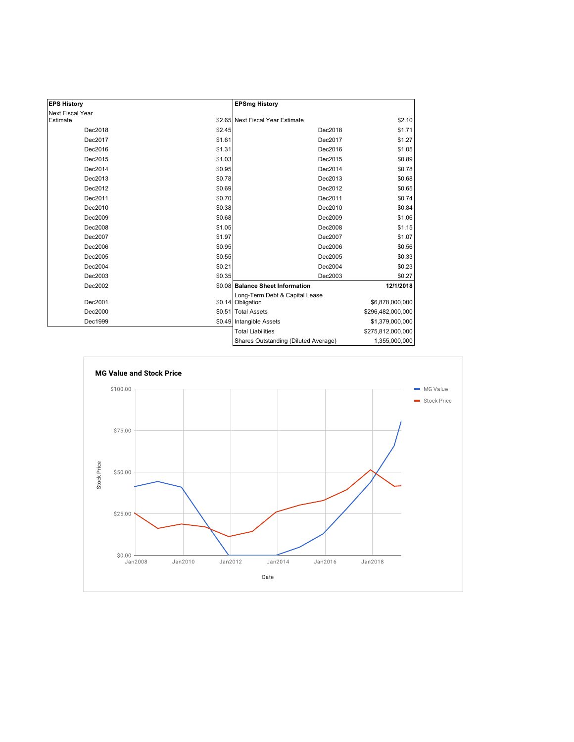| <b>EPS History</b> |        | <b>EPSmg History</b>                                |                   |
|--------------------|--------|-----------------------------------------------------|-------------------|
| Next Fiscal Year   |        |                                                     |                   |
| Estimate           |        | \$2.65 Next Fiscal Year Estimate                    | \$2.10            |
| Dec2018            | \$2.45 | Dec2018                                             | \$1.71            |
| Dec2017            | \$1.61 | Dec2017                                             | \$1.27            |
| Dec2016            | \$1.31 | Dec2016                                             | \$1.05            |
| Dec2015            | \$1.03 | Dec2015                                             | \$0.89            |
| Dec2014            | \$0.95 | Dec2014                                             | \$0.78            |
| Dec2013            | \$0.78 | Dec2013                                             | \$0.68            |
| Dec2012            | \$0.69 | Dec2012                                             | \$0.65            |
| Dec2011            | \$0.70 | Dec2011                                             | \$0.74            |
| Dec2010            | \$0.38 | Dec2010                                             | \$0.84            |
| Dec2009            | \$0.68 | Dec2009                                             | \$1.06            |
| Dec2008            | \$1.05 | Dec2008                                             | \$1.15            |
| Dec2007            | \$1.97 | Dec2007                                             | \$1.07            |
| Dec2006            | \$0.95 | Dec2006                                             | \$0.56            |
| Dec2005            | \$0.55 | Dec2005                                             | \$0.33            |
| Dec2004            | \$0.21 | Dec2004                                             | \$0.23            |
| Dec2003            | \$0.35 | Dec2003                                             | \$0.27            |
| Dec2002            |        | \$0.08 Balance Sheet Information                    | 12/1/2018         |
| Dec2001            |        | Long-Term Debt & Capital Lease<br>\$0.14 Obligation | \$6,878,000,000   |
|                    |        |                                                     |                   |
| Dec2000            |        | \$0.51 Total Assets                                 | \$296,482,000,000 |
| Dec1999            |        | \$0.49 Intangible Assets                            | \$1,379,000,000   |
|                    |        | <b>Total Liabilities</b>                            | \$275,812,000,000 |
|                    |        | Shares Outstanding (Diluted Average)                | 1,355,000,000     |